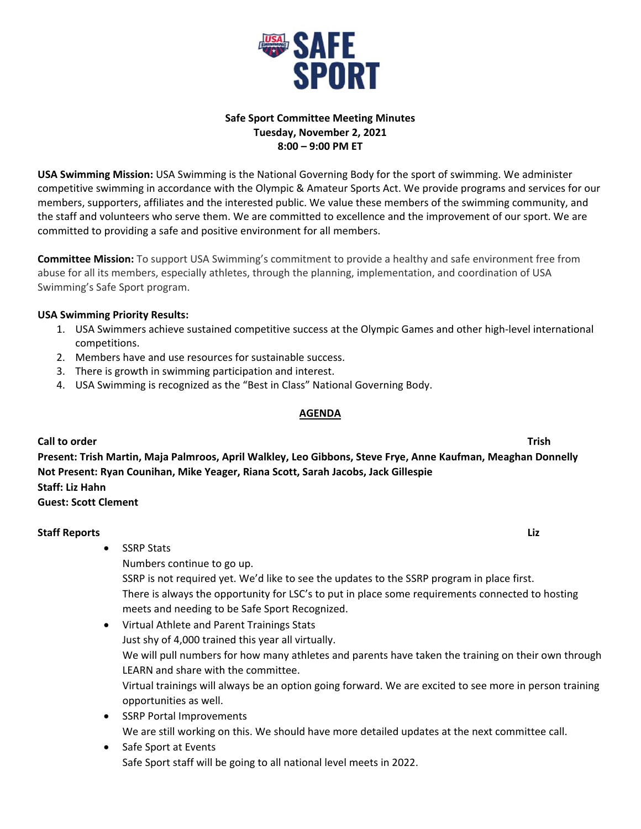

# **Safe Sport Committee Meeting Minutes Tuesday, November 2, 2021 8:00 – 9:00 PM ET**

**USA Swimming Mission:** USA Swimming is the National Governing Body for the sport of swimming. We administer competitive swimming in accordance with the Olympic & Amateur Sports Act. We provide programs and services for our members, supporters, affiliates and the interested public. We value these members of the swimming community, and the staff and volunteers who serve them. We are committed to excellence and the improvement of our sport. We are committed to providing a safe and positive environment for all members.

**Committee Mission:** To support USA Swimming's commitment to provide a healthy and safe environment free from abuse for all its members, especially athletes, through the planning, implementation, and coordination of USA Swimming's Safe Sport program.

## **USA Swimming Priority Results:**

- 1. USA Swimmers achieve sustained competitive success at the Olympic Games and other high‐level international competitions.
- 2. Members have and use resources for sustainable success.
- 3. There is growth in swimming participation and interest.
- 4. USA Swimming is recognized as the "Best in Class" National Governing Body.

### **AGENDA**

### **Call to order Trish**

**Present: Trish Martin, Maja Palmroos, April Walkley, Leo Gibbons, Steve Frye, Anne Kaufman, Meaghan Donnelly Not Present: Ryan Counihan, Mike Yeager, Riana Scott, Sarah Jacobs, Jack Gillespie Staff: Liz Hahn Guest: Scott Clement** 

**Staff Reports** *Liz* • SSRP Stats Numbers continue to go up. SSRP is not required yet. We'd like to see the updates to the SSRP program in place first. There is always the opportunity for LSC's to put in place some requirements connected to hosting meets and needing to be Safe Sport Recognized. Virtual Athlete and Parent Trainings Stats

- Just shy of 4,000 trained this year all virtually. We will pull numbers for how many athletes and parents have taken the training on their own through LEARN and share with the committee. Virtual trainings will always be an option going forward. We are excited to see more in person training opportunities as well.
- SSRP Portal Improvements We are still working on this. We should have more detailed updates at the next committee call.
- Safe Sport at Events Safe Sport staff will be going to all national level meets in 2022.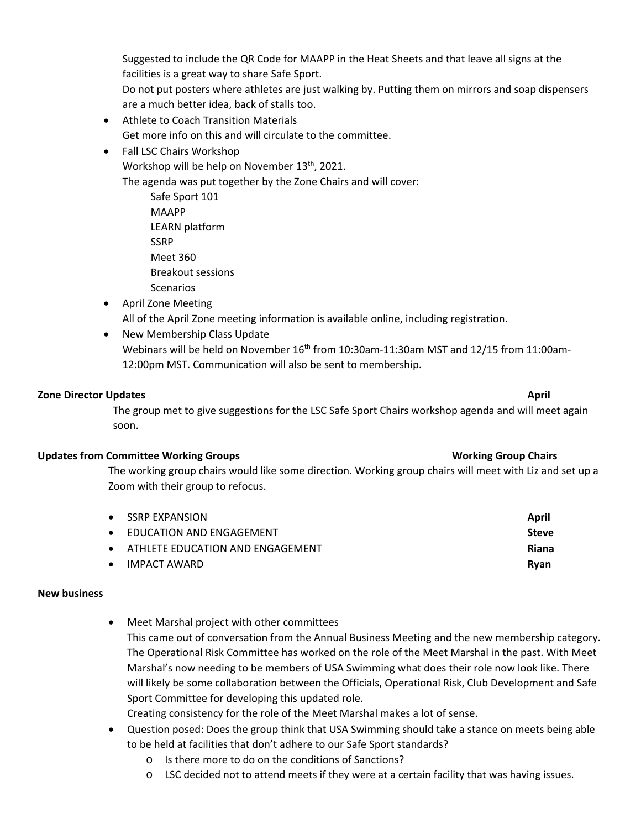Suggested to include the QR Code for MAAPP in the Heat Sheets and that leave all signs at the facilities is a great way to share Safe Sport.

Do not put posters where athletes are just walking by. Putting them on mirrors and soap dispensers are a much better idea, back of stalls too.

- Athlete to Coach Transition Materials Get more info on this and will circulate to the committee.
- Fall LSC Chairs Workshop

Workshop will be help on November 13<sup>th</sup>, 2021.

The agenda was put together by the Zone Chairs and will cover:

Safe Sport 101 MAAPP LEARN platform SSRP Meet 360 Breakout sessions Scenarios

- April Zone Meeting All of the April Zone meeting information is available online, including registration.
- New Membership Class Update Webinars will be held on November 16<sup>th</sup> from 10:30am-11:30am MST and 12/15 from 11:00am-12:00pm MST. Communication will also be sent to membership.

## **Zone Director Updates April**

The group met to give suggestions for the LSC Safe Sport Chairs workshop agenda and will meet again soon.

## **Updates from Committee Working Groups Working Group Chairs**

The working group chairs would like some direction. Working group chairs will meet with Liz and set up a Zoom with their group to refocus.

|           | • SSRP EXPANSION                   | April        |
|-----------|------------------------------------|--------------|
|           | • EDUCATION AND ENGAGEMENT         | Steve        |
|           | • ATHLETE EDUCATION AND ENGAGEMENT | <b>Riana</b> |
| $\bullet$ | IMPACT AWARD                       | Rvan         |

## **New business**

 Meet Marshal project with other committees This came out of conversation from the Annual Business Meeting and the new membership category. The Operational Risk Committee has worked on the role of the Meet Marshal in the past. With Meet Marshal's now needing to be members of USA Swimming what does their role now look like. There will likely be some collaboration between the Officials, Operational Risk, Club Development and Safe Sport Committee for developing this updated role.

Creating consistency for the role of the Meet Marshal makes a lot of sense.

- Question posed: Does the group think that USA Swimming should take a stance on meets being able to be held at facilities that don't adhere to our Safe Sport standards?
	- o Is there more to do on the conditions of Sanctions?
	- o LSC decided not to attend meets if they were at a certain facility that was having issues.